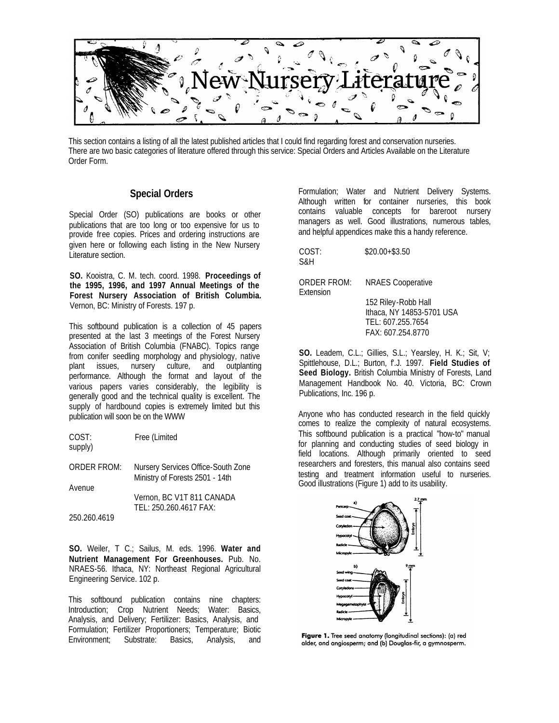

This section contains a listing of all the latest published articles that I could find regarding forest and conservation nurseries. There are two basic categories of literature offered through this service: Special Orders and Articles Available on the Literature Order Form.

#### **Special Orders**

Special Order (SO) publications are books or other publications that are too long or too expensive for us to provide free copies. Prices and ordering instructions are given here or following each listing in the New Nursery Literature section.

**SO.** Kooistra, C. M. tech. coord. 1998. **Proceedings of the 1995, 1996, and 1997 Annual Meetings of the Forest Nursery Association of British Columbia.** Vernon, BC: Ministry of Forests. 197 p.

This softbound publication is a collection of 45 papers presented at the last 3 meetings of the Forest Nursery Association of British Columbia (FNABC). Topics range from conifer seedling morphology and physiology, native plant issues, nursery culture, and outplanting performance. Although the format and layout of the various papers varies considerably, the legibility is generally good and the technical quality is excellent. The supply of hardbound copies is extremely limited but this publication will soon be on the WWW

| COST:<br>supply) | Free (Limited                                                         |
|------------------|-----------------------------------------------------------------------|
| ORDER FROM:      | Nursery Services Office-South Zone<br>Ministry of Forests 2501 - 14th |
| Avenue           | Vernon, BC V1T 811 CANADA<br>TEL: 250.260.4617 FAX:                   |

250.260.4619

**SO.** Weiler, T C.; Sailus, M. eds. 1996. **Water and Nutrient Management For Greenhouses.** Pub. No. NRAES-56. Ithaca, NY: Northeast Regional Agricultural Engineering Service. 102 p.

This softbound publication contains nine chapters: Introduction; Crop Nutrient Needs; Water: Basics, Analysis, and Delivery; Fertilizer: Basics, Analysis, and Formulation; Fertilizer Proportioners; Temperature; Biotic Environment; Substrate: Basics, Analysis, and

Formulation; Water and Nutrient Delivery Systems. Although written for container nurseries, this book contains valuable concepts for bareroot nursery managers as well. Good illustrations, numerous tables, and helpful appendices make this a handy reference.

COST: \$20.00+\$3.50 S&H

ORDER FROM: NRAES Cooperative Extension

152 Riley-Robb Hall Ithaca, NY 14853-5701 USA TEL: 607.255.7654 FAX: 607.254.8770

**SO.** Leadem, C.L.; Gillies, S.L.; Yearsley, H. K.; Sit, V; Spittlehouse, D.L.; Burton, f'.J. 1997. **Field Studies of Seed Biology.** British Columbia Ministry of Forests, Land Management Handbook No. 40. Victoria, BC: Crown Publications, Inc. 196 p.

Anyone who has conducted research in the field quickly comes to realize the complexity of natural ecosystems. This softbound publication is a practical "how-to" manual for planning and conducting studies of seed biology in field locations. Although primarily oriented to seed researchers and foresters, this manual also contains seed testing and treatment information useful to nurseries. Good illustrations (Figure 1) add to its usability.



Figure 1. Tree seed anatomy (longitudinal sections): (a) red alder, and angiosperm; and (b) Douglas-fir, a gymnosperm.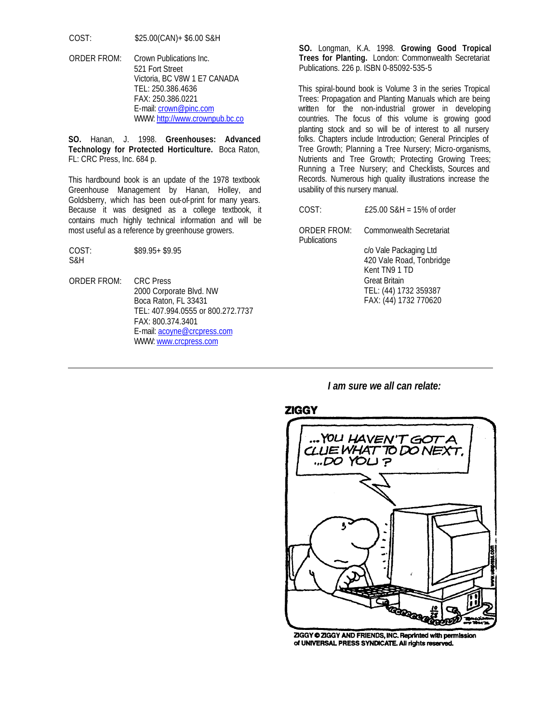COST: \$25.00(CAN)+ \$6.00 S&H

ORDER FROM: Crown Publications Inc. 521 Fort Street Victoria, BC V8W 1 E7 CANADA TEL: 250.386.4636 FAX: 250.386.0221 E-mail: crown@pinc.com WWW: http://www.crownpub.bc.co

**SO.** Hanan, J. 1998. **Greenhouses: Advanced Technology for Protected Horticulture.** Boca Raton, FL: CRC Press, Inc. 684 p.

This hardbound book is an update of the 1978 textbook Greenhouse Management by Hanan, Holley, and Goldsberry, which has been out-of-print for many years. Because it was designed as a college textbook, it contains much highly technical information and will be most useful as a reference by greenhouse growers.

COST: \$89.95+ \$9.95 S&H

ORDER FROM: CRC Press 2000 Corporate Blvd. NW Boca Raton, FL 33431 TEL: 407.994.0555 or 800.272.7737 FAX: 800.374.3401 E-mail: acoyne@crcpress.com WWW: www.crcpress.com

**SO.** Longman, K.A. 1998. **Growing Good Tropical Trees for Planting.** London: Commonwealth Secretariat Publications. 226 p. ISBN 0-85092-535-5

This spiral-bound book is Volume 3 in the series Tropical Trees: Propagation and Planting Manuals which are being written for the non-industrial grower in developing countries. The focus of this volume is growing good planting stock and so will be of interest to all nursery folks. Chapters include Introduction; General Principles of Tree Growth; Planning a Tree Nursery; Micro-organisms, Nutrients and Tree Growth; Protecting Growing Trees; Running a Tree Nursery; and Checklists, Sources and Records. Numerous high quality illustrations increase the usability of this nursery manual.

COST: £25.00 S&H = 15% of order

ORDER FROM: Commonwealth Secretariat **Publications** 

> c/o Vale Packaging Ltd 420 Vale Road, Tonbridge Kent TN9 1 TD Great Britain TEL: (44) 1732 359387 FAX: (44) 1732 770620

*I am sure we all can relate:*

#### **ZIGGY**



ZIGGY @ ZIGGY AND FRIENDS, INC. Reprinted with permission of UNIVERSAL PRESS SYNDICATE. All rights reserved.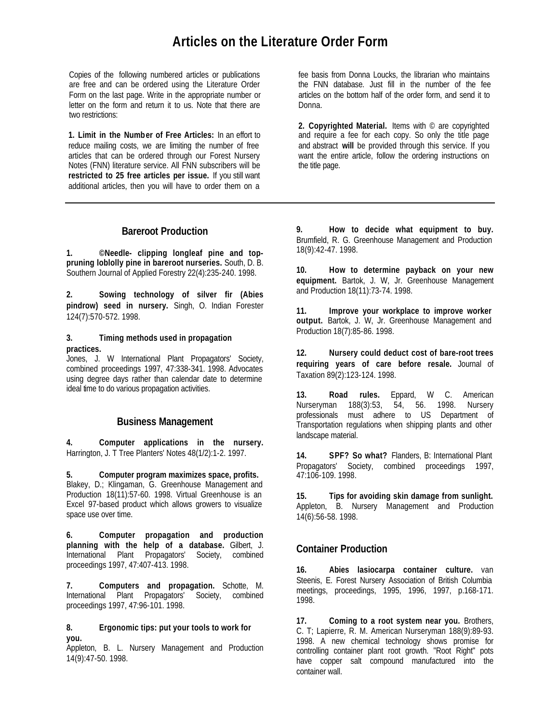# **Articles on the Literature Order Form**

Copies of the following numbered articles or publications are free and can be ordered using the Literature Order Form on the last page. Write in the appropriate number or letter on the form and return it to us. Note that there are two restrictions:

**1. Limit in the Number of Free Articles:** In an effort to reduce mailing costs, we are limiting the number of free articles that can be ordered through our Forest Nursery Notes (FNN) literature service. All FNN subscribers will be **restricted to 25 free articles per issue.** If you still want additional articles, then you will have to order them on a

## **Bareroot Production**

**1. ©Needle- clipping longleaf pine and toppruning loblolly pine in bareroot nurseries.** South, D. B. Southern Journal of Applied Forestry 22(4):235-240. 1998.

**2. Sowing technology of silver fir (Abies pindrow) seed in nursery.** Singh, O. Indian Forester 124(7):570-572. 1998.

#### **3. Timing methods used in propagation practices.**

Jones, J. W International Plant Propagators' Society, combined proceedings 1997, 47:338-341. 1998. Advocates using degree days rather than calendar date to determine ideal time to do various propagation activities.

# **Business Management**

**4. Computer applications in the nursery.** Harrington, J. T Tree Planters' Notes 48(1/2):1-2. 1997.

**5. Computer program maximizes space, profits.** Blakey, D.; Klingaman, G. Greenhouse Management and Production 18(11):57-60. 1998. Virtual Greenhouse is an Excel 97-based product which allows growers to visualize space use over time.

**6. Computer propagation and production planning with the help of a database.** Gilbert, J. International Plant Propagators' Society, combined proceedings 1997, 47:407-413. 1998.

**7. Computers and propagation.** Schotte, M. International Plant Propagators' Society, combined proceedings 1997, 47:96-101. 1998.

#### **8. Ergonomic tips: put your tools to work for you.**

Appleton, B. L. Nursery Management and Production 14(9):47-50. 1998.

fee basis from Donna Loucks, the librarian who maintains the FNN database. Just fill in the number of the fee articles on the bottom half of the order form, and send it to Donna.

**2. Copyrighted Material.** Items with © are copyrighted and require a fee for each copy. So only the title page and abstract **will** be provided through this service. If you want the entire article, follow the ordering instructions on the title page.

**9. How to decide what equipment to buy.** Brumfield, R. G. Greenhouse Management and Production 18(9):42-47. 1998.

**10. How to determine payback on your new equipment.** Bartok, J. W, Jr. Greenhouse Management and Production 18(11):73-74. 1998.

**11. Improve your workplace to improve worker output.** Bartok, J. W, Jr. Greenhouse Management and Production 18(7):85-86. 1998.

**12. Nursery could deduct cost of bare-root trees requiring years of care before resale.** Journal of Taxation 89(2):123-124. 1998.

**13. Road rules.** Eppard, W C. American Nurseryman 188(3):53, 54, 56. 1998. Nursery professionals must adhere to US Department of Transportation regulations when shipping plants and other landscape material.

**14. SPF? So what?** Flanders, B: International Plant Propagators' Society, combined proceedings 1997, 47:106-109. 1998.

**15. Tips for avoiding skin damage from sunlight.**  Appleton, B. Nursery Management and Production 14(6):56-58. 1998.

# **Container Production**

**16. Abies lasiocarpa container culture.** van Steenis, E. Forest Nursery Association of British Columbia meetings, proceedings, 1995, 1996, 1997, p.168-171. 1998.

**17. Coming to a root system near you.** Brothers, C. T; Lapierre, R. M. American Nurseryman 188(9):89-93. 1998. A new chemical technology shows promise for controlling container plant root growth. "Root Right" pots have copper salt compound manufactured into the container wall.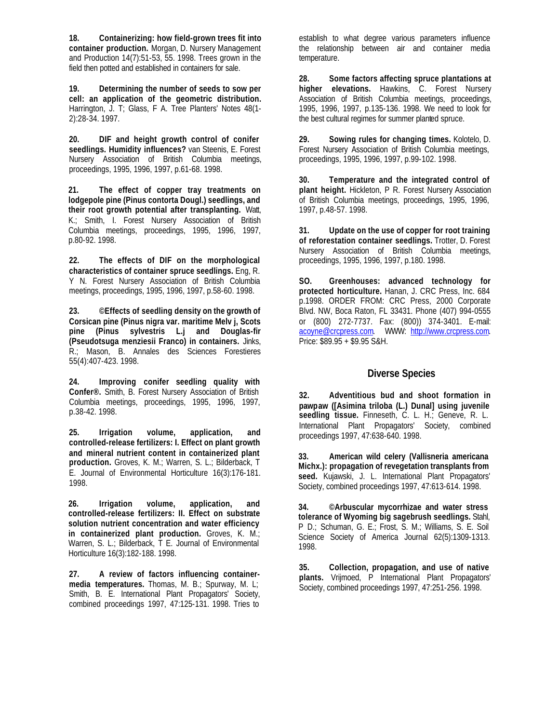**18. Containerizing: how field-grown trees fit into container production.** Morgan, D. Nursery Management and Production 14(7):51-53, 55. 1998. Trees grown in the field then potted and established in containers for sale.

**19. Determining the number of seeds to sow per cell: an application of the geometric distribution.** Harrington, J. T; Glass, F A. Tree Planters' Notes 48(1- 2):28-34. 1997.

**20. DIF and height growth control of conifer seedlings. Humidity influences?** van Steenis, E. Forest Nursery Association of British Columbia meetings, proceedings, 1995, 1996, 1997, p.61-68. 1998.

**21. The effect of copper tray treatments on lodgepole pine (Pinus contorta Dougl.) seedlings, and their root growth potential after transplanting.** Watt, K.; Smith, I. Forest Nursery Association of British Columbia meetings, proceedings, 1995, 1996, 1997, p.80-92. 1998.

**22. The effects of DIF on the morphological characteristics of container spruce seedlings.** Eng, R. Y N. Forest Nursery Association of British Columbia meetings, proceedings, 1995, 1996, 1997, p.58-60. 1998.

**23. ©Effects of seedling density on the growth of Corsican pine (Pinus nigra var. maritime Melv j, Scots pine (Pinus sylvestris L.j and Douglas-fir (Pseudotsuga menziesii Franco) in containers.** Jinks, R.; Mason, B. Annales des Sciences Forestieres 55(4):407-423. 1998.

**24. Improving conifer seedling quality with Confer®.** Smith, B. Forest Nursery Association of British Columbia meetings, proceedings, 1995, 1996, 1997, p.38-42. 1998.

**25. Irrigation volume, application, and controlled-release fertilizers: I. Effect on plant growth and mineral nutrient content in containerized plant production.** Groves, K. M.; Warren, S. L.; Bilderback, T E. Journal of Environmental Horticulture 16(3):176-181. 1998.

**26. Irrigation volume, application, and controlled-release fertilizers: II. Effect on substrate solution nutrient concentration and water efficiency in containerized plant production.** Groves, K. M.; Warren, S. L.; Bilderback, T. E. Journal of Environmental Horticulture 16(3):182-188. 1998.

**27. A review of factors influencing containermedia temperatures.** Thomas, M. B.; Spurway, M. L; Smith, B. E. International Plant Propagators' Society, combined proceedings 1997, 47:125-131. 1998. Tries to establish to what degree various parameters influence the relationship between air and container media temperature.

**28. Some factors affecting spruce plantations at higher elevations.** Hawkins, C. Forest Nursery Association of British Columbia meetings, proceedings, 1995, 1996, 1997, p.135-136. 1998. We need to look for the best cultural regimes for summer planted spruce.

**29. Sowing rules for changing times.** Kolotelo, D. Forest Nursery Association of British Columbia meetings, proceedings, 1995, 1996, 1997, p.99-102. 1998.

**30. Temperature and the integrated control of plant height.** Hickleton, P R. Forest Nursery Association of British Columbia meetings, proceedings, 1995, 1996, 1997, p.48-57. 1998.

**31. Update on the use of copper for root training of reforestation container seedlings.** Trotter, D. Forest Nursery Association of British Columbia meetings, proceedings, 1995, 1996, 1997, p.180. 1998.

**SO. Greenhouses: advanced technology for protected horticulture.** Hanan, J. CRC Press, Inc. 684 p.1998. ORDER FROM: CRC Press, 2000 Corporate Blvd. NW, Boca Raton, FL 33431. Phone (407) 994-0555 or (800) 272-7737. Fax: (800)) 374-3401. E-mail: acoyne@crcpress.com. WWW: http://www.crcpress.com. Price: \$89.95 + \$9.95 S&H.

## **Diverse Species**

**32. Adventitious bud and shoot formation in pawpaw ([Asimina triloba (L.) Dunal] using juvenile seedling tissue.** Finneseth, C. L. H.; Geneve, R. L. International Plant Propagators' Society, combined proceedings 1997, 47:638-640. 1998.

**33. American wild celery (Vallisneria americana Michx.): propagation of revegetation transplants from seed.** Kujawski, J. L. International Plant Propagators' Society, combined proceedings 1997, 47:613-614. 1998.

**34. ©Arbuscular mycorrhizae and water stress tolerance of Wyoming big sagebrush seedlings.** Stahl, P D.; Schuman, G. E.; Frost, S. M.; Williams, S. E. Soil Science Society of America Journal 62(5):1309-1313. 1998.

**35. Collection, propagation, and use of native plants.** Vrijmoed, P International Plant Propagators' Society, combined proceedings 1997, 47:251-256. 1998.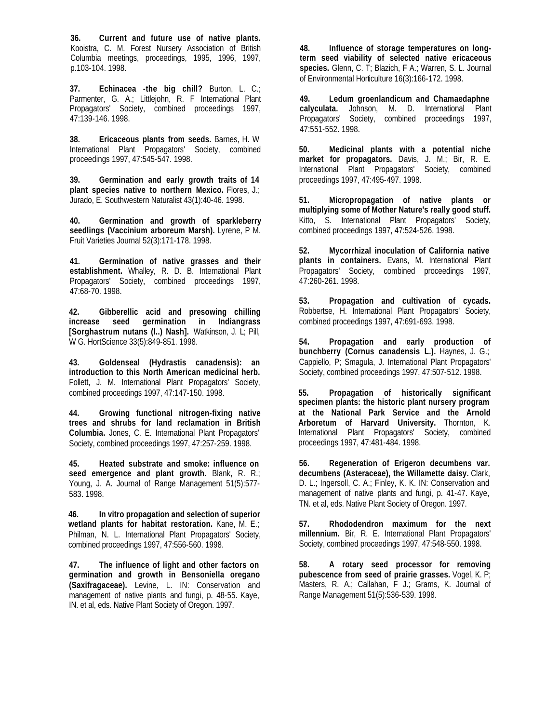**36. Current and future use of native plants.** Kooistra, C. M. Forest Nursery Association of British Columbia meetings, proceedings, 1995, 1996, 1997, p.103-104. 1998.

**37. Echinacea -the big chill?** Burton, L. C.; Parmenter, G. A.; Littlejohn, R. F International Plant Propagators' Society, combined proceedings 1997, 47:139-146. 1998.

**38. Ericaceous plants from seeds.** Barnes, H. W International Plant Propagators' Society, combined proceedings 1997, 47:545-547. 1998.

**39. Germination and early growth traits of 14 plant species native to northern Mexico.** Flores, J.; Jurado, E. Southwestern Naturalist 43(1):40-46. 1998.

**40. Germination and growth of sparkleberry seedlings (Vaccinium arboreum Marsh).** Lyrene, P M. Fruit Varieties Journal 52(3):171-178. 1998.

**41. Germination of native grasses and their establishment.** Whalley, R. D. B. International Plant Propagators' Society, combined proceedings 1997, 47:68-70. 1998.

**42. Gibberellic acid and presowing chilling increase seed germination in Indiangrass [Sorghastrum nutans (l..) Nash].** Watkinson, J. L; Pill, W G. HortScience 33(5):849-851. 1998.

**43. Goldenseal (Hydrastis canadensis): an introduction to this North American medicinal herb.** Follett, J. M. International Plant Propagators' Society, combined proceedings 1997, 47:147-150. 1998.

**44. Growing functional nitrogen-fixing native trees and shrubs for land reclamation in British Columbia.** Jones, C. E. International Plant Propagators' Society, combined proceedings 1997, 47:257-259. 1998.

**45. Heated substrate and smoke: influence on seed emergence and plant growth.** Blank, R. R.; Young, J. A. Journal of Range Management 51(5):577- 583. 1998.

**46. In vitro propagation and selection of superior wetland plants for habitat restoration.** Kane, M. E.; Philman, N. L. International Plant Propagators' Society, combined proceedings 1997, 47:556-560. 1998.

**47. The influence of light and other factors on germination and growth in Bensoniella oregano (Saxifragaceae).** Levine, L. IN: Conservation and management of native plants and fungi, p. 48-55. Kaye, IN. et al, eds. Native Plant Society of Oregon. 1997.

**48. Influence of storage temperatures on longterm seed viability of selected native ericaceous species.** Glenn, C. T; Blazich, F A.; Warren, S. L. Journal of Environmental Horticulture 16(3):166-172. 1998.

**49. Ledum groenlandicum and Chamaedaphne calyculata.** Johnson, M. D. International Plant Propagators' Society, combined proceedings 1997, 47:551-552. 1998.

**50. Medicinal plants with a potential niche market for propagators.** Davis, J. M.; Bir, R. E. International Plant Propagators' Society, combined proceedings 1997, 47:495-497. 1998.

**51. Micropropagation of native plants or multiplying some of Mother Nature's really good stuff.** Kitto, S. International Plant Propagators' Society, combined proceedings 1997, 47:524-526. 1998.

**52. Mycorrhizal inoculation of California native plants in containers.** Evans, M. International Plant Propagators' Society, combined proceedings 1997, 47:260-261. 1998.

**53. Propagation and cultivation of cycads.** Robbertse, H. International Plant Propagators' Society, combined proceedings 1997, 47:691-693. 1998.

**54. Propagation and early production of bunchberry (Cornus canadensis L.).** Haynes, J. G.; Cappiello, P; Smagula, J. International Plant Propagators' Society, combined proceedings 1997, 47:507-512. 1998.

**55. Propagation of historically significant specimen plants: the historic plant nursery program at the National Park Service and the Arnold Arboretum of Harvard University.** Thornton, K. International Plant Propagators' Society, combined proceedings 1997, 47:481-484. 1998.

**56. Regeneration of Erigeron decumbens var. decumbens (Asteraceae), the Willamette daisy.** Clark, D. L.; Ingersoll, C. A.; Finley, K. K. IN: Conservation and management of native plants and fungi, p. 41-47. Kaye, TN. et al, eds. Native Plant Society of Oregon. 1997.

**57. Rhododendron maximum for the next millennium.** Bir, R. E. International Plant Propagators' Society, combined proceedings 1997, 47:548-550. 1998.

**58. A rotary seed processor for removing pubescence from seed of prairie grasses.** Vogel, K. P; Masters, R. A.; Callahan, F J.; Grams, K. Journal of Range Management 51(5):536-539. 1998.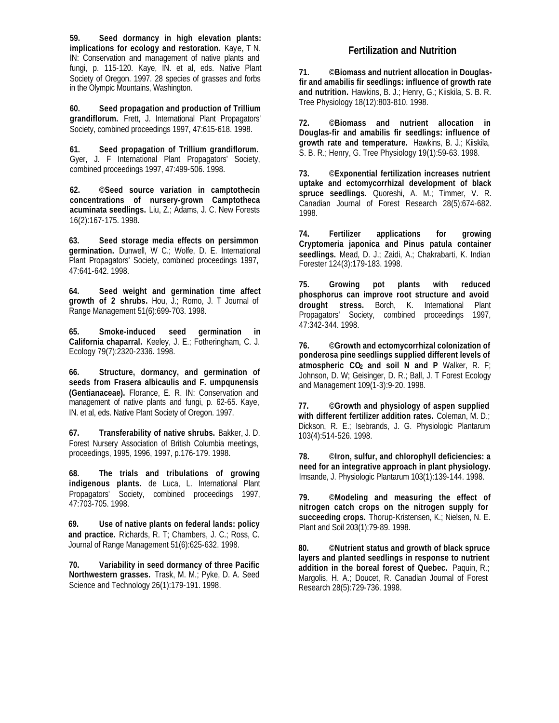**59. Seed dormancy in high elevation plants: implications for ecology and restoration.** Kaye, T N. IN: Conservation and management of native plants and fungi, p. 115-120. Kaye, IN. et al, eds. Native Plant Society of Oregon. 1997. 28 species of grasses and forbs in the Olympic Mountains, Washington.

**60. Seed propagation and production of Trillium grandiflorum.** Frett, J. International Plant Propagators' Society, combined proceedings 1997, 47:615-618. 1998.

**61. Seed propagation of Trillium grandiflorum.**  Gyer, J. F International Plant Propagators' Society, combined proceedings 1997, 47:499-506. 1998.

**62. ©Seed source variation in camptothecin concentrations of nursery-grown Camptotheca acuminata seedlings.** Liu, Z.; Adams, J. C. New Forests 16(2):167-175. 1998.

**63. Seed storage media effects on persimmon germination.** Dunwell, W C.; Wolfe, D. E. International Plant Propagators' Society, combined proceedings 1997, 47:641-642. 1998.

**64. Seed weight and germination time affect growth of 2 shrubs.** Hou, J.; Romo, J. T Journal of Range Management 51(6):699-703. 1998.

**65. Smoke-induced seed germination in California chaparral.** Keeley, J. E.; Fotheringham, C. J. Ecology 79(7):2320-2336. 1998.

**66. Structure, dormancy, and germination of seeds from Frasera albicaulis and F. umpqunensis (Gentianaceae).** Florance, E. R. IN: Conservation and management of native plants and fungi, p. 62-65. Kaye, IN. et al, eds. Native Plant Society of Oregon. 1997.

**67. Transferability of native shrubs.** Bakker, J. D. Forest Nursery Association of British Columbia meetings, proceedings, 1995, 1996, 1997, p.176-179. 1998.

**68. The trials and tribulations of growing indigenous plants.** de Luca, L. International Plant Propagators' Society, combined proceedings 1997, 47:703-705. 1998.

**69. Use of native plants on federal lands: policy and practice.** Richards, R. T; Chambers, J. C.; Ross, C. Journal of Range Management 51(6):625-632. 1998.

**70. Variability in seed dormancy of three Pacific Northwestern grasses.** Trask, M. M.; Pyke, D. A. Seed Science and Technology 26(1):179-191. 1998.

## **Fertilization and Nutrition**

**71. ©Biomass and nutrient allocation in Douglasfir and amabilis fir seedlings: influence of growth rate and nutrition.** Hawkins, B. J.; Henry, G.; Kiiskila, S. B. R. Tree Physiology 18(12):803-810. 1998.

**72. ©Biomass and nutrient allocation in Douglas-fir and amabilis fir seedlings: influence of growth rate and temperature.** Hawkins, B. J.; Kiiskila, S. B. R.; Henry, G. Tree Physiology 19(1):59-63. 1998.

**73. ©Exponential fertilization increases nutrient uptake and ectomycorrhizal development of black spruce seedlings.** Quoreshi, A. M.; Timmer, V. R. Canadian Journal of Forest Research 28(5):674-682. 1998.

**74. Fertilizer applications for growing Cryptomeria japonica and Pinus patula container seedlings.** Mead, D. J.; Zaidi, A.; Chakrabarti, K. Indian Forester 124(3):179-183. 1998.

**75. Growing pot plants with reduced phosphorus can improve root structure and avoid drought stress.** Borch, K. International Plant Propagators' Society, combined proceedings 1997, 47:342-344. 1998.

**76. ©Growth and ectomycorrhizal colonization of ponderosa pine seedlings supplied different levels of atmospheric CO2 and soil N and P** Walker, R. F; Johnson, D. W; Geisinger, D. R.; Ball, J. T Forest Ecology and Management 109(1-3):9-20. 1998.

**77. ©Growth and physiology of aspen supplied with different fertilizer addition rates.** Coleman, M. D.; Dickson, R. E.; Isebrands, J. G. Physiologic Plantarum 103(4):514-526. 1998.

**78. ©Iron, sulfur, and chlorophyll deficiencies: a need for an integrative approach in plant physiology.**  Imsande, J. Physiologic Plantarum 103(1):139-144. 1998.

**79. ©Modeling and measuring the effect of nitrogen catch crops on the nitrogen supply for succeeding crops.** Thorup-Kristensen, K.; Nielsen, N. E. Plant and Soil 203(1):79-89. 1998.

**80. ©Nutrient status and growth of black spruce layers and planted seedlings in response to nutrient addition in the boreal forest of Quebec.** Paquin, R.; Margolis, H. A.; Doucet, R. Canadian Journal of Forest Research 28(5):729-736. 1998.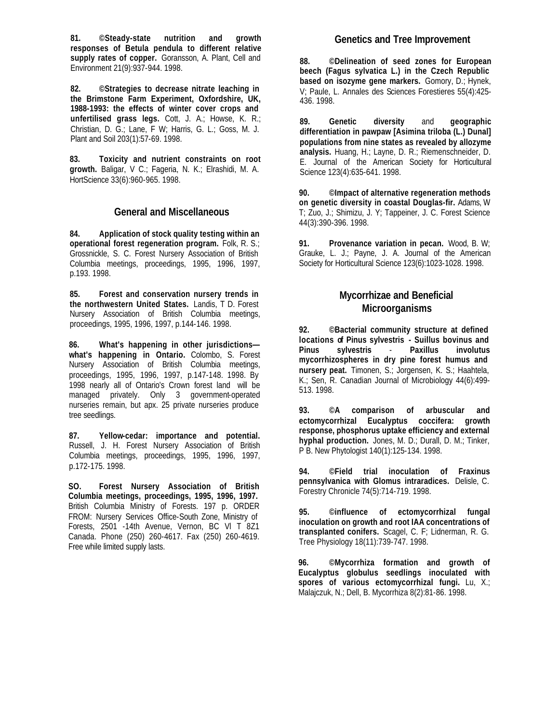**81. ©Steady-state nutrition and growth responses of Betula pendula to different relative supply rates of copper.** Goransson, A. Plant, Cell and Environment 21(9):937-944. 1998.

**82. ©Strategies to decrease nitrate leaching in the Brimstone Farm Experiment, Oxfordshire, UK, 1988-1993: the effects of winter cover crops and unfertilised grass legs.** Cott, J. A.; Howse, K. R.; Christian, D. G.; Lane, F W; Harris, G. L.; Goss, M. J. Plant and Soil 203(1):57-69. 1998.

**83. Toxicity and nutrient constraints on root growth.** Baligar, V C.; Fageria, N. K.; Elrashidi, M. A. HortScience 33(6):960-965. 1998.

#### **General and Miscellaneous**

**84. Application of stock quality testing within an operational forest regeneration program.** Folk, R. S.; Grossnickle, S. C. Forest Nursery Association of British Columbia meetings, proceedings, 1995, 1996, 1997, p.193. 1998.

**85. Forest and conservation nursery trends in the northwestern United States.** Landis, T D. Forest Nursery Association of British Columbia meetings, proceedings, 1995, 1996, 1997, p.144-146. 1998.

**86. What's happening in other jurisdictions what's happening in Ontario.** Colombo, S. Forest Nursery Association of British Columbia meetings, proceedings, 1995, 1996, 1997, p.147-148. 1998. By 1998 nearly all of Ontario's Crown forest land will be managed privately. Only 3 government-operated nurseries remain, but apx. 25 private nurseries produce tree seedlings.

**87. Yellow-cedar: importance and potential.** Russell, J. H. Forest Nursery Association of British Columbia meetings, proceedings, 1995, 1996, 1997, p.172-175. 1998.

**SO. Forest Nursery Association of British Columbia meetings, proceedings, 1995, 1996, 1997.**  British Columbia Ministry of Forests. 197 p. ORDER FROM: Nursery Services Office-South Zone, Ministry of Forests, 2501 -14th Avenue, Vernon, BC Vl T 8Z1 Canada. Phone (250) 260-4617. Fax (250) 260-4619. Free while limited supply lasts.

**88. ©Delineation of seed zones for European beech (Fagus sylvatica L.) in the Czech Republic based on isozyme gene markers.** Gomory, D.; Hynek, V; Paule, L. Annales des Sciences Forestieres 55(4):425- 436. 1998.

**89. Genetic diversity** and **geographic differentiation in pawpaw [Asimina triloba (L.) Dunal] populations from nine states as revealed by allozyme analysis.** Huang, H.; Layne, D. R.; Riemenschneider, D. E. Journal of the American Society for Horticultural Science 123(4):635-641. 1998.

**90. ©Impact of alternative regeneration methods on genetic diversity in coastal Douglas-fir.** Adams, W T; Zuo, J.; Shimizu, J. Y; Tappeiner, J. C. Forest Science 44(3):390-396. 1998.

**91. Provenance variation in pecan.** Wood, B. W; Grauke, L. J.; Payne, J. A. Journal of the American Society for Horticultural Science 123(6):1023-1028. 1998.

# **Mycorrhizae and Beneficial Microorganisms**

**92. ©Bacterial community structure at defined locations of Pinus sylvestris - Suillus bovinus and Pinus sylvestris** - **Paxillus involutus mycorrhizospheres in dry pine forest humus and nursery peat.** Timonen, S.; Jorgensen, K. S.; Haahtela, K.; Sen, R. Canadian Journal of Microbiology 44(6):499- 513. 1998.

**93. ©A comparison of arbuscular and ectomycorrhizal Eucalyptus coccifera: growth response, phosphorus uptake efficiency and external hyphal production.** Jones, M. D.; Durall, D. M.; Tinker, P B. New Phytologist 140(1):125-134. 1998.

**94. ©Field trial inoculation of Fraxinus pennsylvanica with Glomus intraradices.** Delisle, C. Forestry Chronicle 74(5):714-719. 1998.

**95. ©influence of ectomycorrhizal fungal inoculation on growth and root IAA concentrations of transplanted conifers.** Scagel, C. F; Lidnerman, R. G. Tree Physiology 18(11):739-747. 1998.

**96. ©Mycorrhiza formation and growth of Eucalyptus globulus seedlings inoculated with spores of various ectomycorrhizal fungi.** Lu, X.; Malajczuk, N.; Dell, B. Mycorrhiza 8(2):81-86. 1998.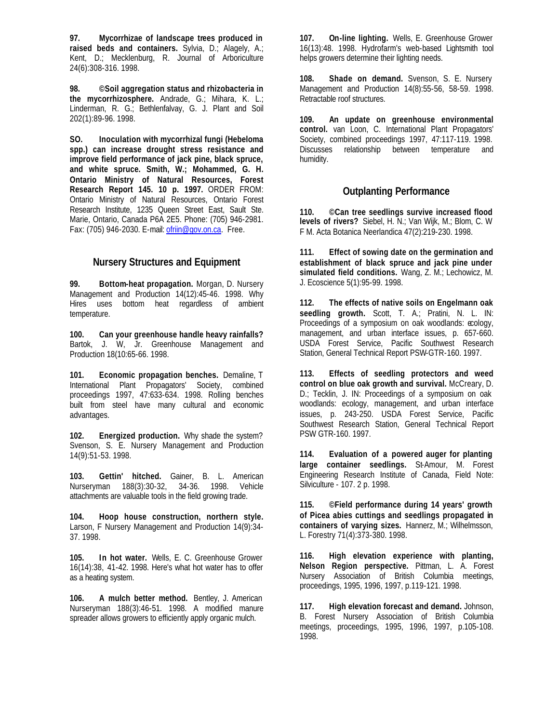**97. Mycorrhizae of landscape trees produced in raised beds and containers.** Sylvia, D.; Alagely, A.; Kent, D.; Mecklenburg, R. Journal of Arboriculture 24(6):308-316. 1998.

**98. ©Soil aggregation status and rhizobacteria in the mycorrhizosphere.** Andrade, G.; Mihara, K. L.; Linderman, R. G.; Bethlenfalvay, G. J. Plant and Soil 202(1):89-96. 1998.

**SO. Inoculation with mycorrhizal fungi (Hebeloma spp.) can increase drought stress resistance and improve field performance of jack pine, black spruce, and white spruce. Smith, W.; Mohammed, G. H. Ontario Ministry of Natural Resources, Forest Research Report 145. 10 p. 1997.** ORDER FROM: Ontario Ministry of Natural Resources, Ontario Forest Research Institute, 1235 Queen Street East, Sault Ste. Marie, Ontario, Canada P6A 2E5. Phone: (705) 946-2981. Fax: (705) 946-2030. E-mail: ofriin@gov.on.ca. Free.

#### **Nursery Structures and Equipment**

**99. Bottom-heat propagation.** Morgan, D. Nursery Management and Production 14(12):45-46. 1998. Why Hires uses bottom heat regardless of ambient temperature.

**100. Can your greenhouse handle heavy rainfalls?**  Bartok, J. W, Jr. Greenhouse Management and Production 18(10:65-66. 1998.

**101. Economic propagation benches.** Demaline, T International Plant Propagators' Society, combined proceedings 1997, 47:633-634. 1998. Rolling benches built from steel have many cultural and economic advantages.

**102. Energized production.** Why shade the system? Svenson, S. E. Nursery Management and Production 14(9):51-53. 1998.

**103. Gettin' hitched.** Gainer, B. L. American Nurseryman 188(3):30-32, 34-36. 1998. Vehicle attachments are valuable tools in the field growing trade.

**104. Hoop house construction, northern style.** Larson, F Nursery Management and Production 14(9):34- 37. 1998.

**105. In hot water.** Wells, E. C. Greenhouse Grower 16(14):38, 41-42. 1998. Here's what hot water has to offer as a heating system.

**106. A mulch better method.** Bentley, J. American Nurseryman 188(3):46-51. 1998. A modified manure spreader allows growers to efficiently apply organic mulch.

**107. On-line lighting.** Wells, E. Greenhouse Grower 16(13):48. 1998. Hydrofarm's web-based Lightsmith tool helps growers determine their lighting needs.

**108. Shade on demand.** Svenson, S. E. Nursery Management and Production 14(8):55-56, 58-59. 1998. Retractable roof structures.

**109. An update on greenhouse environmental control.** van Loon, C. International Plant Propagators' Society, combined proceedings 1997, 47:117-119. 1998. Discusses relationship between temperature and humidity.

#### **Outplanting Performance**

**110. ©Can tree seedlings survive increased flood levels of rivers?** Siebel, H. N.; Van Wijk, M.; Blom, C. W F M. Acta Botanica Neerlandica 47(2):219-230. 1998.

**111. Effect of sowing date on the germination and establishment of black spruce and jack pine under simulated field conditions.** Wang, Z. M.; Lechowicz, M. J. Ecoscience 5(1):95-99. 1998.

**112. The effects of native soils on Engelmann oak seedling growth.** Scott, T. A.; Pratini, N. L. IN: Proceedings of a symposium on oak woodlands: ecology, management, and urban interface issues, p. 657-660. USDA Forest Service, Pacific Southwest Research Station, General Technical Report PSW-GTR-160. 1997.

**113. Effects of seedling protectors and weed control on blue oak growth and survival.** McCreary, D. D.; Tecklin, J. IN: Proceedings of a symposium on oak woodlands: ecology, management, and urban interface issues, p. 243-250. USDA Forest Service, Pacific Southwest Research Station, General Technical Report PSW GTR-160. 1997.

**114. Evaluation of a powered auger for planting large container seedlings.** St-Amour, M. Forest Engineering Research Institute of Canada, Field Note: Silviculture - 107. 2 p. 1998.

**115. ©Field performance during 14 years' growth of Picea abies cuttings and seedlings propagated in containers of varying sizes.** Hannerz, M.; Wilhelmsson, L. Forestry 71(4):373-380. 1998.

**116. High elevation experience with planting, Nelson Region perspective.** Pittman, L. A. Forest Nursery Association of British Columbia meetings, proceedings, 1995, 1996, 1997, p.119-121. 1998.

**117. High elevation forecast and demand.** Johnson, B. Forest Nursery Association of British Columbia meetings, proceedings, 1995, 1996, 1997, p.105-108. 1998.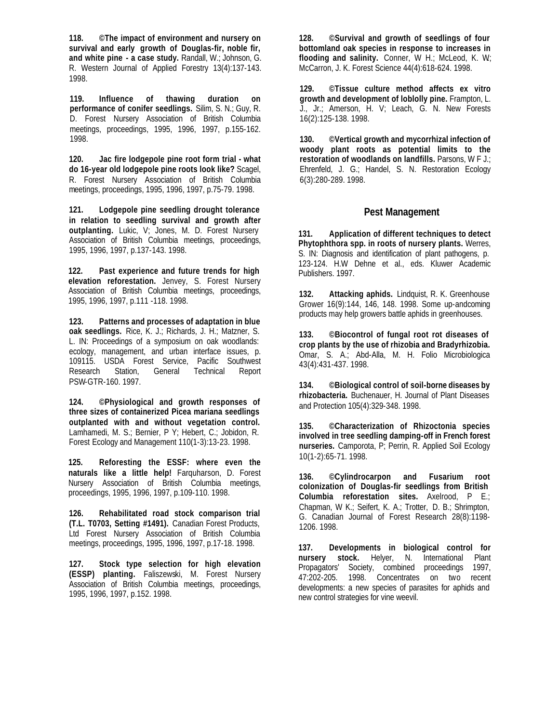**118. ©The impact of environment and nursery on survival and early growth of Douglas-fir, noble fir, and white pine - a case study.** Randall, W.; Johnson, G. R. Western Journal of Applied Forestry 13(4):137-143. 1998.

**119. Influence of thawing duration on performance of conifer seedlings.** Silim, S. N.; Guy, R. D. Forest Nursery Association of British Columbia meetings, proceedings, 1995, 1996, 1997, p.155-162. 1998.

**120. Jac fire lodgepole pine root form trial - what do 16-year old lodgepole pine roots look like?** Scagel, R. Forest Nursery Association of British Columbia meetings, proceedings, 1995, 1996, 1997, p.75-79. 1998.

**121. Lodgepole pine seedling drought tolerance in relation to seedling survival and growth after outplanting.** Lukic, V; Jones, M. D. Forest Nursery Association of British Columbia meetings, proceedings, 1995, 1996, 1997, p.137-143. 1998.

**122. Past experience and future trends for high elevation reforestation.** Jenvey, S. Forest Nursery Association of British Columbia meetings, proceedings, 1995, 1996, 1997, p.111 -118. 1998.

**123. Patterns and processes of adaptation in blue oak seedlings.** Rice, K. J.; Richards, J. H.; Matzner, S. L. IN: Proceedings of a symposium on oak woodlands: ecology, management, and urban interface issues, p. 109115. USDA Forest Service, Pacific Southwest Research Station, General Technical Report PSW-GTR-160. 1997.

**124. ©Physiological and growth responses of three sizes of containerized Picea mariana seedlings outplanted with and without vegetation control.** Lamhamedi, M. S.; Bernier, P Y; Hebert, C.; Jobidon, R. Forest Ecology and Management 110(1-3):13-23. 1998.

**125. Reforesting the ESSF: where even the naturals like a little help!** Farquharson, D. Forest Nursery Association of British Columbia meetings, proceedings, 1995, 1996, 1997, p.109-110. 1998.

**126. Rehabilitated road stock comparison trial (T.L. T0703, Setting #1491).** Canadian Forest Products, Ltd Forest Nursery Association of British Columbia meetings, proceedings, 1995, 1996, 1997, p.17-18. 1998.

**127. Stock type selection for high elevation (ESSP) planting.** Faliszewski, M. Forest Nursery Association of British Columbia meetings, proceedings, 1995, 1996, 1997, p.152. 1998.

**128. ©Survival and growth of seedlings of four bottomland oak species in response to increases in flooding and salinity.** Conner, W H.; McLeod, K. W.; McCarron, J. K. Forest Science 44(4):618-624. 1998.

**129. ©Tissue culture method affects ex vitro growth and development of loblolly pine.** Frampton, L. J., Jr.; Amerson, H. V; Leach, G. N. New Forests 16(2):125-138. 1998.

**130. ©Vertical growth and mycorrhizal infection of woody plant roots as potential limits to the restoration of woodlands on landfills.** Parsons, W F J.; Ehrenfeld, J. G.; Handel, S. N. Restoration Ecology 6(3):280-289. 1998.

#### **Pest Management**

**131. Application of different techniques to detect Phytophthora spp. in roots of nursery plants.** Werres, S. IN: Diagnosis and identification of plant pathogens, p. 123-124. H.W Dehne et al., eds. Kluwer Academic Publishers. 1997.

**132. Attacking aphids.** Lindquist, R. K. Greenhouse Grower 16(9):144, 146, 148. 1998. Some up-andcoming products may help growers battle aphids in greenhouses.

**133. ©Biocontrol of fungal root rot diseases of crop plants by the use of rhizobia and Bradyrhizobia.**  Omar, S. A.; Abd-Alla, M. H. Folio Microbiologica 43(4):431-437. 1998.

**134. ©Biological control of soil-borne diseases by rhizobacteria.** Buchenauer, H. Journal of Plant Diseases and Protection 105(4):329-348. 1998.

**135. ©Characterization of Rhizoctonia species involved in tree seedling damping-off in French forest nurseries.** Camporota, P; Perrin, R. Applied Soil Ecology 10(1-2):65-71. 1998.

**136. ©Cylindrocarpon and Fusarium root colonization of Douglas-fir seedlings from British Columbia reforestation sites.** Axelrood, P E.; Chapman, W K.; Seifert, K. A.; Trotter, D. B.; Shrimpton, G. Canadian Journal of Forest Research 28(8):1198- 1206. 1998.

**137. Developments in biological control for nursery stock.** Helyer, N. International Plant Propagators' Society, combined proceedings 1997, 47:202-205. 1998. Concentrates on two recent developments: a new species of parasites for aphids and new control strategies for vine weevil.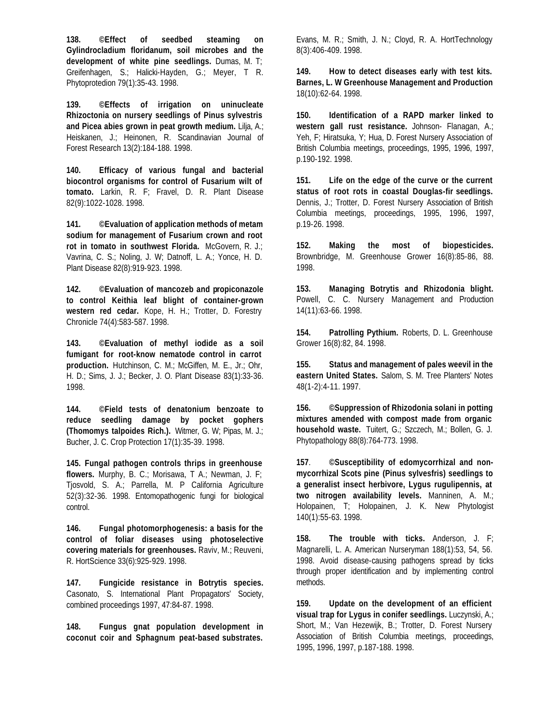**138. ©Effect of seedbed steaming on Gylindrocladium floridanum, soil microbes and the development of white pine seedlings.** Dumas, M. T; Greifenhagen, S.; Halicki-Hayden, G.; Meyer, T R. Phytoprotedion 79(1):35-43. 1998.

**139. ©Effects of irrigation on uninucleate Rhizoctonia on nursery seedlings of Pinus sylvestris and Picea abies grown in peat growth medium.** Lilja, A.; Heiskanen, J.; Heinonen, R. Scandinavian Journal of Forest Research 13(2):184-188. 1998.

**140. Efficacy of various fungal and bacterial biocontrol organisms for control of Fusarium wilt of tomato.** Larkin, R. F; Fravel, D. R. Plant Disease 82(9):1022-1028. 1998.

**141. ©Evaluation of application methods of metam sodium for management of Fusarium crown and root rot in tomato in southwest Florida.** McGovern, R. J.; Vavrina, C. S.; Noling, J. W; Datnoff, L. A.; Yonce, H. D. Plant Disease 82(8):919-923. 1998.

**142. ©Evaluation of mancozeb and propiconazole to control Keithia leaf blight of container-grown western red cedar.** Kope, H. H.; Trotter, D. Forestry Chronicle 74(4):583-587. 1998.

**143. ©Evaluation of methyl iodide as a soil fumigant for root-know nematode control in carrot production.** Hutchinson, C. M.; McGiffen, M. E., Jr.; Ohr, H. D.; Sims, J. J.; Becker, J. O. Plant Disease 83(1):33-36. 1998.

**144. ©Field tests of denatonium benzoate to reduce seedling damage by pocket gophers (Thomomys talpoides Rich.).** Witmer, G. W; Pipas, M. J.; Bucher, J. C. Crop Protection 17(1):35-39. 1998.

**145. Fungal pathogen controls thrips in greenhouse flowers.** Murphy, B. C.; Morisawa, T A.; Newman, J. F; Tjosvold, S. A.; Parrella, M. P California Agriculture 52(3):32-36. 1998. Entomopathogenic fungi for biological control.

**146. Fungal photomorphogenesis: a basis for the control of foliar diseases using photoselective covering materials for greenhouses.** Raviv, M.; Reuveni, R. HortScience 33(6):925-929. 1998.

**147. Fungicide resistance in Botrytis species.** Casonato, S. International Plant Propagators' Society, combined proceedings 1997, 47:84-87. 1998.

**148. Fungus gnat population development in coconut coir and Sphagnum peat-based substrates.** 

Evans, M. R.; Smith, J. N.; Cloyd, R. A. HortTechnology 8(3):406-409. 1998.

**149. How to detect diseases early with test kits. Barnes, L. W Greenhouse Management and Production**  18(10):62-64. 1998.

**150. Identification of a RAPD marker linked to western gall rust resistance.** Johnson- Flanagan, A.; Yeh, F; Hiratsuka, Y; Hua, D. Forest Nursery Association of British Columbia meetings, proceedings, 1995, 1996, 1997, p.190-192. 1998.

**151. Life on the edge of the curve or the current status of root rots in coastal Douglas-fir seedlings.**  Dennis, J.; Trotter, D. Forest Nursery Association of British Columbia meetings, proceedings, 1995, 1996, 1997, p.19-26. 1998.

**152. Making the most of biopesticides.** Brownbridge, M. Greenhouse Grower 16(8):85-86, 88. 1998.

**153. Managing Botrytis and Rhizodonia blight.** Powell, C. C. Nursery Management and Production 14(11):63-66. 1998.

**154. Patrolling Pythium.** Roberts, D. L. Greenhouse Grower 16(8):82, 84. 1998.

**155. Status and management of pales weevil in the eastern United States.** Salom, S. M. Tree Planters' Notes 48(1-2):4-11. 1997.

**156. ©Suppression of Rhizodonia solani in potting mixtures amended with compost made from organic household waste.** Tuitert, G.; Szczech, M.; Bollen, G. J. Phytopathology 88(8):764-773. 1998.

**157**. **©Susceptibility of edomycorrhizal and nonmycorrhizal Scots pine (Pinus sylvesfris) seedlings to a generalist insect herbivore, Lygus rugulipennis, at two nitrogen availability levels.** Manninen, A. M.; Holopainen, T; Holopainen, J. K. New Phytologist 140(1):55-63. 1998.

**158. The trouble with ticks.** Anderson, J. F; Magnarelli, L. A. American Nurseryman 188(1):53, 54, 56. 1998. Avoid disease-causing pathogens spread by ticks through proper identification and by implementing control methods.

**159. Update on the development of an efficient visual trap for Lygus in conifer seedlings.** Luczynski, A.; Short, M.; Van Hezewijk, B.; Trotter, D. Forest Nursery Association of British Columbia meetings, proceedings, 1995, 1996, 1997, p.187-188. 1998.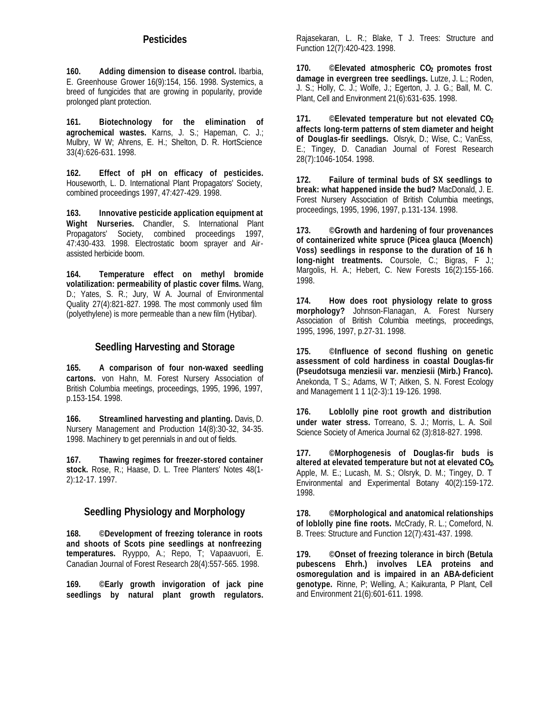## **Pesticides**

**160. Adding dimension to disease control.** Ibarbia, E. Greenhouse Grower 16(9):154, 156. 1998. Systemics, a breed of fungicides that are growing in popularity, provide prolonged plant protection.

**161. Biotechnology for the elimination of agrochemical wastes.** Karns, J. S.; Hapeman, C. J.; Mulbry, W W; Ahrens, E. H.; Shelton, D. R. HortScience 33(4):626-631. 1998.

**162. Effect of pH on efficacy of pesticides.** Houseworth, L. D. International Plant Propagators' Society, combined proceedings 1997, 47:427-429. 1998.

**163. Innovative pesticide application equipment at Wight Nurseries.** Chandler, S. International Plant Propagators' Society, combined proceedings 1997, 47:430-433. 1998. Electrostatic boom sprayer and Airassisted herbicide boom.

**164. Temperature effect on methyl bromide volatilization: permeability of plastic cover films.** Wang, D.; Yates, S. R.; Jury, W A. Journal of Environmental Quality 27(4):821-827. 1998. The most commonly used film (polyethylene) is more permeable than a new film (Hytibar).

## **Seedling Harvesting and Storage**

**165. A comparison of four non-waxed seedling cartons.** von Hahn, M. Forest Nursery Association of British Columbia meetings, proceedings, 1995, 1996, 1997, p.153-154. 1998.

**166. Streamlined harvesting and planting.** Davis, D. Nursery Management and Production 14(8):30-32, 34-35. 1998. Machinery to get perennials in and out of fields.

**167. Thawing regimes for freezer-stored container stock.** Rose, R.; Haase, D. L. Tree Planters' Notes 48(1- 2):12-17. 1997.

# **Seedling Physiology and Morphology**

**168. ©Development of freezing tolerance in roots and shoots of Scots pine seedlings at nonfreezing temperatures.** Ryyppo, A.; Repo, T; Vapaavuori, E. Canadian Journal of Forest Research 28(4):557-565. 1998.

**169. ©Early growth invigoration of jack pine seedlings by natural plant growth regulators.**

Rajasekaran, L. R.; Blake, T J. Trees: Structure and Function 12(7):420-423. 1998.

**170. ©Elevated atmospheric CO2 promotes frost damage in evergreen tree seedlings.** Lutze, J. L.; Roden, J. S.; Holly, C. J.; Wolfe, J.; Egerton, J. J. G.; Ball, M. C. Plant, Cell and Environment 21(6):631-635. 1998.

**171. ©Elevated temperature but not elevated CO<sup>2</sup> affects long-term patterns of stem diameter and height of Douglas-fir seedlings.** Olsryk, D.; Wise, C.; VanEss, E.; Tingey, D. Canadian Journal of Forest Research 28(7):1046-1054. 1998.

**172. Failure of terminal buds of SX seedlings to break: what happened inside the bud?** MacDonald, J. E. Forest Nursery Association of British Columbia meetings, proceedings, 1995, 1996, 1997, p.131-134. 1998.

**173. ©Growth and hardening of four provenances of containerized white spruce (Picea glauca (Moench) Voss) seedlings in response to the duration of 16 h long-night treatments.** Coursole, C.; Bigras, F J.; Margolis, H. A.; Hebert, C. New Forests 16(2):155-166. 1998.

**174. How does root physiology relate to gross morphology?** Johnson-Flanagan, A. Forest Nursery Association of British Columbia meetings, proceedings, 1995, 1996, 1997, p.27-31. 1998.

**175. ©Influence of second flushing on genetic assessment of cold hardiness in coastal Douglas-fir (Pseudotsuga menziesii var. menziesii (Mirb.) Franco).**  Anekonda, T S.; Adams, W T; Aitken, S. N. Forest Ecology and Management 1 1 1(2-3):1 19-126. 1998.

**176. Loblolly pine root growth and distribution under water stress.** Torreano, S. J.; Morris, L. A. Soil Science Society of America Journal 62 (3):818-827. 1998.

**177. ©Morphogenesis of Douglas-fir buds is altered at elevated temperature but not at elevated CO2.**  Apple, M. E.; Lucash, M. S.; Olsryk, D. M.; Tingey, D. T Environmental and Experimental Botany 40(2):159-172. 1998.

**178. ©Morphological and anatomical relationships of loblolly pine fine roots.** McCrady, R. L.; Comeford, N. B. Trees: Structure and Function 12(7):431-437. 1998.

**179. ©Onset of freezing tolerance in birch (Betula pubescens Ehrh.) involves LEA proteins and osmoregulation and is impaired in an ABA-deficient genotype.** Rinne, P; Welling, A.; Kaikuranta, P Plant, Cell and Environment 21(6):601-611. 1998.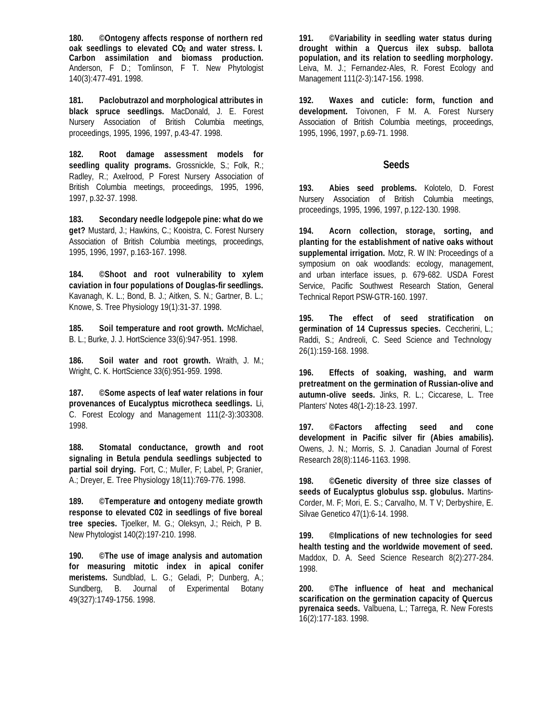**180. ©Ontogeny affects response of northern red oak seedlings to elevated CO2 and water stress. I. Carbon assimilation and biomass production.** Anderson, F D.; Tomlinson, F T. New Phytologist 140(3):477-491. 1998.

**181. Paclobutrazol and morphological attributes in black spruce seedlings.** MacDonald, J. E. Forest Nursery Association of British Columbia meetings, proceedings, 1995, 1996, 1997, p.43-47. 1998.

**182. Root damage assessment models for seedling quality programs.** Grossnickle, S.; Folk, R.; Radley, R.; Axelrood, P Forest Nursery Association of British Columbia meetings, proceedings, 1995, 1996, 1997, p.32-37. 1998.

**183. Secondary needle lodgepole pine: what do we get?** Mustard, J.; Hawkins, C.; Kooistra, C. Forest Nursery Association of British Columbia meetings, proceedings, 1995, 1996, 1997, p.163-167. 1998.

**184. ©Shoot and root vulnerability to xylem caviation in four populations of Douglas-fir seedlings.**  Kavanagh, K. L.; Bond, B. J.; Aitken, S. N.; Gartner, B. L.; Knowe, S. Tree Physiology 19(1):31-37. 1998.

**185. Soil temperature and root growth.** McMichael, B. L.; Burke, J. J. HortScience 33(6):947-951. 1998.

**186. Soil water and root growth.** Wraith, J. M.; Wright, C. K. HortScience 33(6):951-959. 1998.

**187. ©Some aspects of leaf water relations in four provenances of Eucalyptus microtheca seedlings.** Li, C. Forest Ecology and Management 111(2-3):303308. 1998.

**188. Stomatal conductance, growth and root signaling in Betula pendula seedlings subjected to partial soil drying.** Fort, C.; Muller, F; Label, P; Granier, A.; Dreyer, E. Tree Physiology 18(11):769-776. 1998.

**189. ©Temperature and ontogeny mediate growth response to elevated C02 in seedlings of five boreal tree species.** Tjoelker, M. G.; Oleksyn, J.; Reich, P B. New Phytologist 140(2):197-210. 1998.

**190. ©The use of image analysis and automation for measuring mitotic index in apical conifer meristems.** Sundblad, L. G.; Geladi, P; Dunberg, A.; Sundberg, B. Journal of Experimental Botany 49(327):1749-1756. 1998.

**191. ©Variability in seedling water status during drought within a Quercus ilex subsp. ballota population, and its relation to seedling morphology.**  Leiva, M. J.; Fernandez-Ales, R. Forest Ecology and Management 111(2-3):147-156. 1998.

**192. Waxes and cuticle: form, function and development.** Toivonen, F M. A. Forest Nursery Association of British Columbia meetings, proceedings, 1995, 1996, 1997, p.69-71. 1998.

#### **Seeds**

**193. Abies seed problems.** Kolotelo, D. Forest Nursery Association of British Columbia meetings, proceedings, 1995, 1996, 1997, p.122-130. 1998.

**194. Acorn collection, storage, sorting, and planting for the establishment of native oaks without supplemental irrigation.** Motz, R. W IN: Proceedings of a symposium on oak woodlands: ecology, management, and urban interface issues, p. 679-682. USDA Forest Service, Pacific Southwest Research Station, General Technical Report PSW-GTR-160. 1997.

**195. The effect of seed stratification on germination of 14 Cupressus species.** Ceccherini, L.; Raddi, S.; Andreoli, C. Seed Science and Technology 26(1):159-168. 1998.

**196. Effects of soaking, washing, and warm pretreatment on the germination of Russian-olive and autumn-olive seeds.** Jinks, R. L.; Ciccarese, L. Tree Planters' Notes 48(1-2):18-23. 1997.

**197. ©Factors affecting seed and cone development in Pacific silver fir (Abies amabilis).** Owens, J. N.; Morris, S. J. Canadian Journal of Forest Research 28(8):1146-1163. 1998.

**198. ©Genetic diversity of three size classes of seeds of Eucalyptus globulus ssp. globulus.** Martins-Corder, M. F; Mori, E. S.; Carvalho, M. T V; Derbyshire, E. Silvae Genetico 47(1):6-14. 1998.

**199. ©Implications of new technologies for seed health testing and the worldwide movement of seed.**  Maddox, D. A. Seed Science Research 8(2):277-284. 1998.

**200. ©The influence of heat and mechanical scarification on the germination capacity of Quercus pyrenaica seeds.** Valbuena, L.; Tarrega, R. New Forests 16(2):177-183. 1998.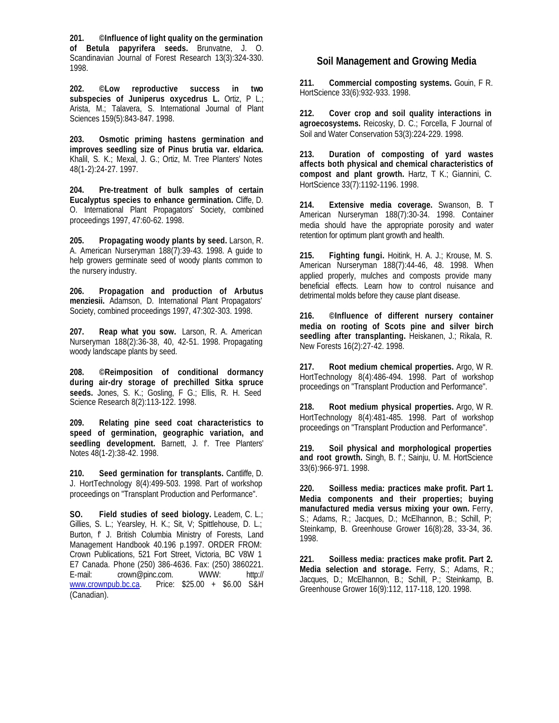**201. ©Influence of light quality on the germination of Betula papyrifera seeds.** Brunvatne, J. O. Scandinavian Journal of Forest Research 13(3):324-330. 1998.

**202. ©Low reproductive success in two subspecies of Juniperus oxycedrus L.** Ortiz, P L.; Arista, M.; Talavera, S. International Journal of Plant Sciences 159(5):843-847. 1998.

**203. Osmotic priming hastens germination and improves seedling size of Pinus brutia var. eldarica.** Khalil, S. K.; Mexal, J. G.; Ortiz, M. Tree Planters' Notes 48(1-2):24-27. 1997.

**204. Pre-treatment of bulk samples of certain Eucalyptus species to enhance germination.** Cliffe, D. O. International Plant Propagators' Society, combined proceedings 1997, 47:60-62. 1998.

**205. Propagating woody plants by seed.** Larson, R. A. American Nurseryman 188(7):39-43. 1998. A guide to help growers germinate seed of woody plants common to the nursery industry.

**206. Propagation and production of Arbutus menziesii.** Adamson, D. International Plant Propagators' Society, combined proceedings 1997, 47:302-303. 1998.

**207. Reap what you sow.** Larson, R. A. American Nurseryman 188(2):36-38, 40, 42-51. 1998. Propagating woody landscape plants by seed.

**208. ©Reimposition of conditional dormancy during air-dry storage of prechilled Sitka spruce seeds.** Jones, S. K.; Gosling, F G.; Ellis, R. H. Seed Science Research 8(2):113-122. 1998.

**209. Relating pine seed coat characteristics to speed of germination, geographic variation, and** seedling development. Barnett, J. f. Tree Planters' Notes 48(1-2):38-42. 1998.

**210. Seed germination for transplants.** Cantliffe, D. J. HortTechnology 8(4):499-503. 1998. Part of workshop proceedings on "Transplant Production and Performance".

**SO. Field studies of seed biology.** Leadem, C. L.; Gillies, S. L.; Yearsley, H. K.; Sit, V; Spittlehouse, D. L.; Burton, f' J. British Columbia Ministry of Forests, Land Management Handbook 40.196 p.1997. ORDER FROM: Crown Publications, 521 Fort Street, Victoria, BC V8W 1 E7 Canada. Phone (250) 386-4636. Fax: (250) 3860221. E-mail: crown@pinc.com. WWW: http://<br>www.crownpub.bc.ca. Price: \$25.00 + \$6.00 S&H Price: \$25.00 + \$6.00 S&H (Canadian).

## **Soil Management and Growing Media**

**211. Commercial composting systems.** Gouin, F R. HortScience 33(6):932-933. 1998.

**212. Cover crop and soil quality interactions in agroecosystems.** Reicosky, D. C.; Forcella, F Journal of Soil and Water Conservation 53(3):224-229. 1998.

**213. Duration of composting of yard wastes affects both physical and chemical characteristics of compost and plant growth.** Hartz, T K.; Giannini, C. HortScience 33(7):1192-1196. 1998.

**214. Extensive media coverage.** Swanson, B. T American Nurseryman 188(7):30-34. 1998. Container media should have the appropriate porosity and water retention for optimum plant growth and health.

**215. Fighting fungi.** Hoitink, H. A. J.; Krouse, M. S. American Nurseryman 188(7):44-46, 48. 1998. When applied properly, mulches and composts provide many beneficial effects. Learn how to control nuisance and detrimental molds before they cause plant disease.

**216. ©Influence of different nursery container media on rooting of Scots pine and silver birch seedling after transplanting.** Heiskanen, J.; Rikala, R. New Forests 16(2):27-42. 1998.

**217. Root medium chemical properties.** Argo, W R. HortTechnology 8(4):486-494. 1998. Part of workshop proceedings on "Transplant Production and Performance".

**218. Root medium physical properties.** Argo, W R. HortTechnology 8(4):481-485. 1998. Part of workshop proceedings on "Transplant Production and Performance".

**219. Soil physical and morphological properties and root growth.** Singh, B. f'.; Sainju, U. M. HortScience 33(6):966-971. 1998.

**220. Soilless media: practices make profit. Part 1. Media components and their properties; buying manufactured media versus mixing your own.** Ferry, S.; Adams, R.; Jacques, D.; McElhannon, B.; Schill, P; Steinkamp, B. Greenhouse Grower 16(8):28, 33-34, 36. 1998.

**221. Soilless media: practices make profit. Part 2. Media selection and storage.** Ferry, S.; Adams, R.; Jacques, D.; McElhannon, B.; Schill, P.; Steinkamp, B. Greenhouse Grower 16(9):112, 117-118, 120. 1998.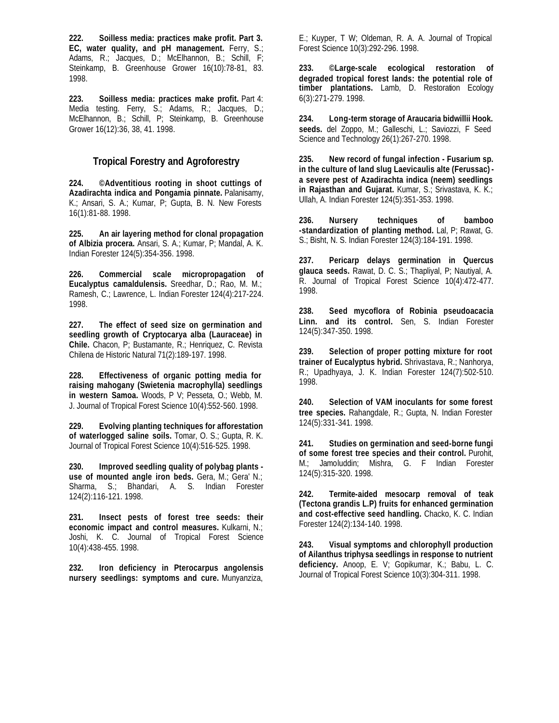**222. Soilless media: practices make profit. Part 3. EC, water quality, and pH management.** Ferry, S.; Adams, R.; Jacques, D.; McElhannon, B.; Schill, F; Steinkamp, B. Greenhouse Grower 16(10):78-81, 83. 1998.

**223. Soilless media: practices make profit.** Part 4: Media testing. Ferry, S.; Adams, R.; Jacques, D.; McElhannon, B.; Schill, P; Steinkamp, B. Greenhouse Grower 16(12):36, 38, 41. 1998.

## **Tropical Forestry and Agroforestry**

**224. ©Adventitious rooting in shoot cuttings of Azadirachta indica and Pongamia pinnate.** Palanisamy, K.; Ansari, S. A.; Kumar, P; Gupta, B. N. New Forests 16(1):81-88. 1998.

**225. An air layering method for clonal propagation of Albizia procera.** Ansari, S. A.; Kumar, P; Mandal, A. K. Indian Forester 124(5):354-356. 1998.

**226. Commercial scale micropropagation of Eucalyptus camaldulensis.** Sreedhar, D.; Rao, M. M.; Ramesh, C.; Lawrence, L. Indian Forester 124(4):217-224. 1998.

**227. The effect of seed size on germination and seedling growth of Cryptocarya alba (Lauraceae) in Chile.** Chacon, P; Bustamante, R.; Henriquez, C. Revista Chilena de Historic Natural 71(2):189-197. 1998.

**228. Effectiveness of organic potting media for raising mahogany (Swietenia macrophylla) seedlings in western Samoa.** Woods, P V; Pesseta, O.; Webb, M. J. Journal of Tropical Forest Science 10(4):552-560. 1998.

**229. Evolving planting techniques for afforestation of waterlogged saline soils.** Tomar, O. S.; Gupta, R. K. Journal of Tropical Forest Science 10(4):516-525. 1998.

**230. Improved seedling quality of polybag plants use of mounted angle iron beds.** Gera, M.; Gera' N.; Sharma, S.; Bhandari, A. S. Indian Forester 124(2):116-121. 1998.

**231. Insect pests of forest tree seeds: their economic impact and control measures.** Kulkarni, N.; Joshi, K. C. Journal of Tropical Forest Science 10(4):438-455. 1998.

**232. Iron deficiency in Pterocarpus angolensis nursery seedlings: symptoms and cure.** Munyanziza,

E.; Kuyper, T W; Oldeman, R. A. A. Journal of Tropical Forest Science 10(3):292-296. 1998.

**233. ©Large-scale ecological restoration of degraded tropical forest lands: the potential role of timber plantations.** Lamb, D. Restoration Ecology 6(3):271-279. 1998.

**234. Long-term storage of Araucaria bidwillii Hook. seeds.** del Zoppo, M.; Galleschi, L.; Saviozzi, F Seed Science and Technology 26(1):267-270. 1998.

**235. New record of fungal infection - Fusarium sp. in the culture of land slug Laevicaulis alte (Ferussac) a severe pest of Azadirachta indica (neem) seedlings in Rajasthan and Gujarat.** Kumar, S.; Srivastava, K. K.; Ullah, A. Indian Forester 124(5):351-353. 1998.

**236. Nursery techniques of bamboo -standardization of planting method.** Lal, P; Rawat, G. S.; Bisht, N. S. Indian Forester 124(3):184-191. 1998.

**237. Pericarp delays germination in Quercus glauca seeds.** Rawat, D. C. S.; Thapliyal, P; Nautiyal, A. R. Journal of Tropical Forest Science 10(4):472-477. 1998.

**238. Seed mycoflora of Robinia pseudoacacia Linn. and its control.** Sen, S. Indian Forester 124(5):347-350. 1998.

**239. Selection of proper potting mixture for root trainer of Eucalyptus hybrid.** Shrivastava, R.; Nanhorya, R.; Upadhyaya, J. K. Indian Forester 124(7):502-510. 1998.

**240. Selection of VAM inoculants for some forest tree species.** Rahangdale, R.; Gupta, N. Indian Forester 124(5):331-341. 1998.

**241. Studies on germination and seed-borne fungi of some forest tree species and their control.** Purohit, M.; Jamoluddin; Mishra, G. F Indian Forester 124(5):315-320. 1998.

**242. Termite-aided mesocarp removal of teak (Tectona grandis L.P) fruits for enhanced germination and cost-effective seed handling.** Chacko, K. C. Indian Forester 124(2):134-140. 1998.

**243. Visual symptoms and chlorophyll production of Ailanthus triphysa seedlings in response to nutrient deficiency.** Anoop, E. V; Gopikumar, K.; Babu, L. C. Journal of Tropical Forest Science 10(3):304-311. 1998.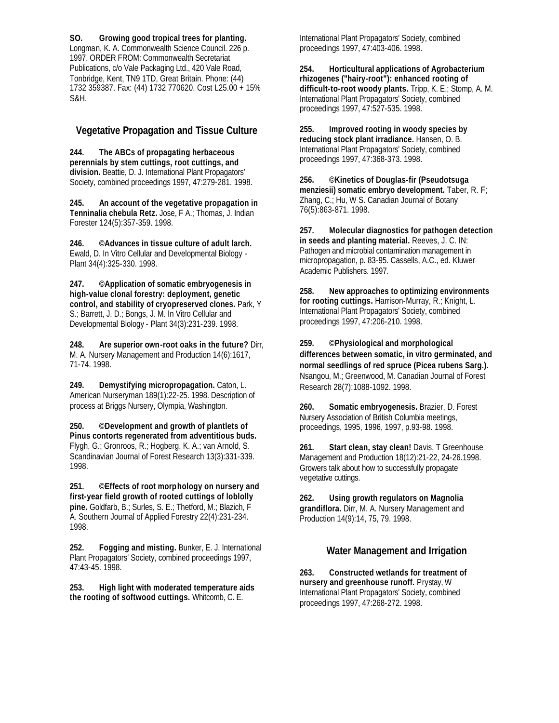**SO. Growing good tropical trees for planting.** 

Longman, K. A. Commonwealth Science Council. 226 p. 1997. ORDER FROM: Commonwealth Secretariat Publications, c/o Vale Packaging Ltd., 420 Vale Road, Tonbridge, Kent, TN9 1TD, Great Britain. Phone: (44) 1732 359387. Fax: (44) 1732 770620. Cost L25.00 + 15% S&H.

## **Vegetative Propagation and Tissue Culture**

**244. The ABCs of propagating herbaceous perennials by stem cuttings, root cuttings, and division.** Beattie, D. J. International Plant Propagators' Society, combined proceedings 1997, 47:279-281. 1998.

**245. An account of the vegetative propagation in Tenninalia chebula Retz.** Jose, F A.; Thomas, J. Indian Forester 124(5):357-359. 1998.

**246. ©Advances in tissue culture of adult larch.**  Ewald, D. In Vitro Cellular and Developmental Biology - Plant 34(4):325-330. 1998.

**247. ©Application of somatic embryogenesis in high-value clonal forestry: deployment, genetic control, and stability of cryopreserved clones.** Park, Y S.; Barrett, J. D.; Bongs, J. M. In Vitro Cellular and Developmental Biology - Plant 34(3):231-239. 1998.

**248. Are superior own-root oaks in the future?** Dirr, M. A. Nursery Management and Production 14(6):1617, 71-74. 1998.

**249. Demystifying micropropagation.** Caton, L. American Nurseryman 189(1):22-25. 1998. Description of process at Briggs Nursery, Olympia, Washington.

**250. ©Development and growth of plantlets of Pinus contorts regenerated from adventitious buds.**  Flygh, G.; Gronroos, R.; Hogberg, K. A.; van Arnold, S. Scandinavian Journal of Forest Research 13(3):331-339. 1998.

**251. ©Effects of root morphology on nursery and first-year field growth of rooted cuttings of loblolly pine.** Goldfarb, B.; Surles, S. E.; Thetford, M.; Blazich, F A. Southern Journal of Applied Forestry 22(4):231-234. 1998.

**252. Fogging and misting.** Bunker, E. J. International Plant Propagators' Society, combined proceedings 1997, 47:43-45. 1998.

**253. High light with moderated temperature aids the rooting of softwood cuttings.** Whitcomb, C. E.

International Plant Propagators' Society, combined proceedings 1997, 47:403-406. 1998.

**254. Horticultural applications of Agrobacterium rhizogenes ("hairy-root"): enhanced rooting of difficult-to-root woody plants.** Tripp, K. E.; Stomp, A. M. International Plant Propagators' Society, combined proceedings 1997, 47:527-535. 1998.

**255. Improved rooting in woody species by reducing stock plant irradiance.** Hansen, O. B. International Plant Propagators' Society, combined proceedings 1997, 47:368-373. 1998.

**256. ©Kinetics of Douglas-fir (Pseudotsuga menziesii) somatic embryo development.** Taber, R. F; Zhang, C.; Hu, W S. Canadian Journal of Botany 76(5):863-871. 1998.

**257. Molecular diagnostics for pathogen detection in seeds and planting material.** Reeves, J. C. IN: Pathogen and microbial contamination management in micropropagation, p. 83-95. Cassells, A.C., ed. Kluwer Academic Publishers. 1997.

**258. New approaches to optimizing environments for rooting cuttings.** Harrison-Murray, R.; Knight, L. International Plant Propagators' Society, combined proceedings 1997, 47:206-210. 1998.

**259. ©Physiological and morphological differences between somatic, in vitro germinated, and normal seedlings of red spruce (Picea rubens Sarg.).**  Nsangou, M.; Greenwood, M. Canadian Journal of Forest Research 28(7):1088-1092. 1998.

**260. Somatic embryogenesis.** Brazier, D. Forest Nursery Association of British Columbia meetings, proceedings, 1995, 1996, 1997, p.93-98. 1998.

**261. Start clean, stay clean!** Davis, T Greenhouse Management and Production 18(12):21-22, 24-26.1998. Growers talk about how to successfully propagate vegetative cuttings.

**262. Using growth regulators on Magnolia grandiflora.** Dirr, M. A. Nursery Management and Production 14(9):14, 75, 79. 1998.

## **Water Management and Irrigation**

**263. Constructed wetlands for treatment of nursery and greenhouse runoff.** Prystay, W International Plant Propagators' Society, combined proceedings 1997, 47:268-272. 1998.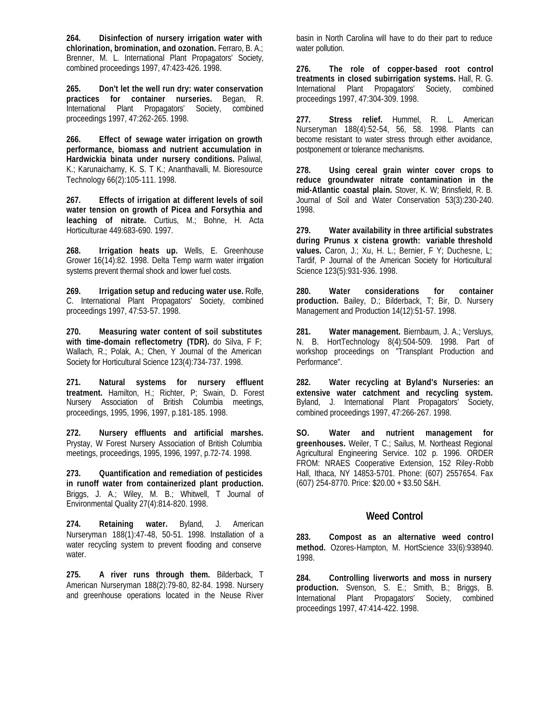**264. Disinfection of nursery irrigation water with chlorination, bromination, and ozonation.** Ferraro, B. A.; Brenner, M. L. International Plant Propagators' Society, combined proceedings 1997, 47:423-426. 1998.

**265. Don't let the well run dry: water conservation practices for container nurseries.** Began, R. International Plant Propagators' Society, combined proceedings 1997, 47:262-265. 1998.

**266. Effect of sewage water irrigation on growth performance, biomass and nutrient accumulation in Hardwickia binata under nursery conditions.** Paliwal, K.; Karunaichamy, K. S. T K.; Ananthavalli, M. Bioresource Technology 66(2):105-111. 1998.

**267. Effects of irrigation at different levels of soil water tension on growth of Picea and Forsythia and leaching of nitrate.** Curtius, M.; Bohne, H. Acta Horticulturae 449:683-690. 1997.

**268. Irrigation heats up.** Wells, E. Greenhouse Grower 16(14):82. 1998. Delta Temp warm water irrigation systems prevent thermal shock and lower fuel costs.

**269. Irrigation setup and reducing water use.** Rolfe, C. International Plant Propagators' Society, combined proceedings 1997, 47:53-57. 1998.

**270. Measuring water content of soil substitutes with time-domain reflectometry (TDR).** do Silva, F F; Wallach, R.; Polak, A.; Chen, Y Journal of the American Society for Horticultural Science 123(4):734-737. 1998.

**271. Natural systems for nursery effluent treatment.** Hamilton, H.; Richter, P; Swain, D. Forest Nursery Association of British Columbia meetings, proceedings, 1995, 1996, 1997, p.181-185. 1998.

**272. Nursery effluents and artificial marshes.** Prystay, W Forest Nursery Association of British Columbia meetings, proceedings, 1995, 1996, 1997, p.72-74. 1998.

**273. Quantification and remediation of pesticides in runoff water from containerized plant production.** Briggs, J. A.; Wiley, M. B.; Whitwell, T Journal of Environmental Quality 27(4):814-820. 1998.

**274. Retaining water.** Byland, J. American Nurseryman 188(1):47-48, 50-51. 1998. Installation of a water recycling system to prevent flooding and conserve water.

**275. A river runs through them.** Bilderback, T American Nurseryman 188(2):79-80, 82-84. 1998. Nursery and greenhouse operations located in the Neuse River basin in North Carolina will have to do their part to reduce water pollution.

**276. The role of copper-based root control treatments in closed subirrigation systems.** Hall, R. G. International Plant Propagators' Society, combined proceedings 1997, 47:304-309. 1998.

**277. Stress relief.** Hummel, R. L. American Nurseryman 188(4):52-54, 56, 58. 1998. Plants can become resistant to water stress through either avoidance, postponement or tolerance mechanisms.

**278. Using cereal grain winter cover crops to reduce groundwater nitrate contamination in the mid-Atlantic coastal plain.** Stover, K. W; Brinsfield, R. B. Journal of Soil and Water Conservation 53(3):230-240. 1998.

**279. Water availability in three artificial substrates during Prunus x cistena growth: variable threshold values.** Caron, J.; Xu, H. L.; Bernier, F Y; Duchesne, L; Tardif, P Journal of the American Society for Horticultural Science 123(5):931-936. 1998.

**280. Water considerations for container production.** Bailey, D.; Bilderback, T; Bir, D. Nursery Management and Production 14(12):51-57. 1998.

**281. Water management.** Biernbaum, J. A.; Versluys, N. B. HortTechnology 8(4):504-509. 1998. Part of workshop proceedings on "Transplant Production and Performance".

**282. Water recycling at Byland's Nurseries: an extensive water catchment and recycling system.** Byland, J. International Plant Propagators' Society, combined proceedings 1997, 47:266-267. 1998.

**SO. Water and nutrient management for greenhouses.** Weiler, T C.; Sailus, M. Northeast Regional Agricultural Engineering Service. 102 p. 1996. ORDER FROM: NRAES Cooperative Extension, 152 Riley-Robb Hall, Ithaca, NY 14853-5701. Phone: (607) 2557654. Fax (607) 254-8770. Price: \$20.00 + \$3.50 S&H.

## **Weed Control**

**283. Compost as an alternative weed control method.** Ozores-Hampton, M. HortScience 33(6):938940. 1998.

**284. Controlling liverworts and moss in nursery production.** Svenson, S. E.; Smith, B.; Briggs, B. International Plant Propagators' Society, combined proceedings 1997, 47:414-422. 1998.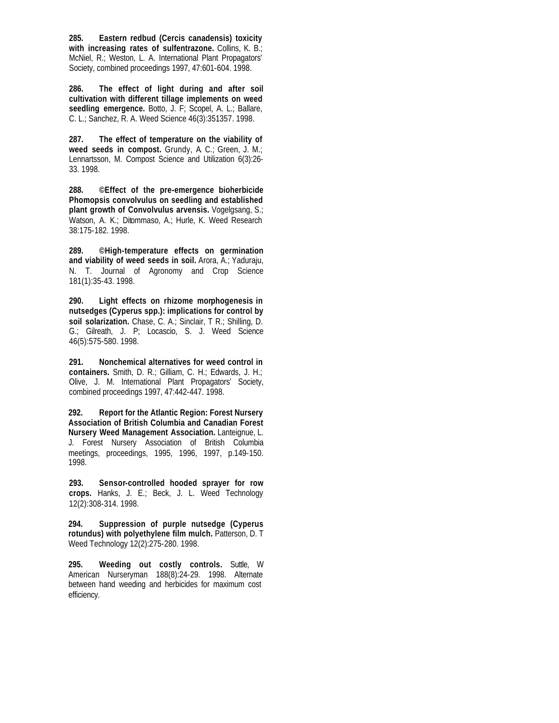**285. Eastern redbud (Cercis canadensis) toxicity with increasing rates of sulfentrazone.** Collins, K. B.; McNiel, R.; Weston, L. A. International Plant Propagators' Society, combined proceedings 1997, 47:601-604. 1998.

**286. The effect of light during and after soil cultivation with different tillage implements on weed seedling emergence.** Botto, J. F; Scopel, A. L.; Ballare, C. L.; Sanchez, R. A. Weed Science 46(3):351357. 1998.

**287. The effect of temperature on the viability of weed seeds in compost.** Grundy, A. C.; Green, J. M.; Lennartsson, M. Compost Science and Utilization 6(3):26- 33. 1998.

**288. ©Effect of the pre-emergence bioherbicide Phomopsis convolvulus on seedling and established plant growth of Convolvulus arvensis.** Vogelgsang, S.; Watson, A. K.; Ditommaso, A.; Hurle, K. Weed Research 38:175-182. 1998.

**289. ©High-temperature effects on germination and viability of weed seeds in soil.** Arora, A.; Yaduraju, N. T. Journal of Agronomy and Crop Science 181(1):35-43. 1998.

**290. Light effects on rhizome morphogenesis in nutsedges (Cyperus spp.): implications for control by soil solarization.** Chase, C. A.; Sinclair, T R.; Shilling, D. G.; Gilreath, J. P; Locascio, S. J. Weed Science 46(5):575-580. 1998.

**291. Nonchemical alternatives for weed control in containers.** Smith, D. R.; Gilliam, C. H.; Edwards, J. H.; Olive, J. M. International Plant Propagators' Society, combined proceedings 1997, 47:442-447. 1998.

**292. Report for the Atlantic Region: Forest Nursery Association of British Columbia and Canadian Forest Nursery Weed Management Association.** Lanteignue, L. J. Forest Nursery Association of British Columbia meetings, proceedings, 1995, 1996, 1997, p.149-150. 1998.

**293. Sensor-controlled hooded sprayer for row crops.** Hanks, J. E.; Beck, J. L. Weed Technology 12(2):308-314. 1998.

**294. Suppression of purple nutsedge (Cyperus rotundus) with polyethylene film mulch.** Patterson, D. T Weed Technology 12(2):275-280. 1998.

**295. Weeding out costly controls.** Suttle, W American Nurseryman 188(8):24-29. 1998. Alternate between hand weeding and herbicides for maximum cost efficiency.